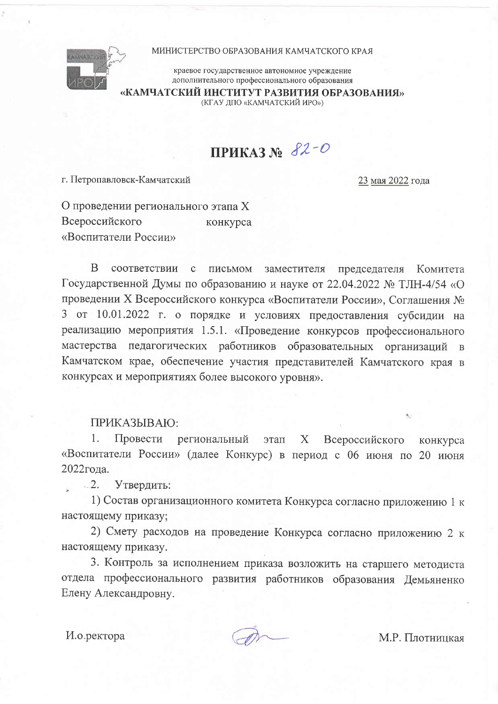

## МИНИСТЕРСТВО ОБРАЗОВАНИЯ КАМЧАТСКОГО КРАЯ

краевое государственное автономное учреждение дополнительного профессионального образования

«КАМЧАТСКИЙ ИНСТИТУТ РАЗВИТИЯ ОБРАЗОВАНИЯ»

(КГАУ ДПО «КАМЧАТСКИЙ ИРО»)

## ПРИКАЗ № 82-О

г. Петропавловск-Камчатский

23 мая 2022 года

О проведении регионального этапа Х Всероссийского конкурса «Воспитатели России»

 $\overline{B}$ соответствии с письмом заместителя председателя Комитета Государственной Думы по образованию и науке от 22.04.2022 № ТЛН-4/54 «О проведении Х Всероссийского конкурса «Воспитатели России», Соглашения № 3 от 10.01.2022 г. о порядке и условиях предоставления субсидии на реализацию мероприятия 1.5.1. «Проведение конкурсов профессионального мастерства педагогических работников образовательных организаций в Камчатском крае, обеспечение участия представителей Камчатского края в конкурсах и мероприятиях более высокого уровня».

ПРИКАЗЫВАЮ:

1. Провести региональный этап Х Всероссийского конкурса «Воспитатели России» (далее Конкурс) в период с 06 июня по 20 июня 2022года.

 $-2$ Утвердить:

1) Состав организационного комитета Конкурса согласно приложению 1 к настоящему приказу;

2) Смету расходов на проведение Конкурса согласно приложению 2 к настоящему приказу.

3. Контроль за исполнением приказа возложить на старшего методиста отдела профессионального развития работников образования Демьяненко Елену Александровну.

И.о.ректора

М.Р. Плотницкая